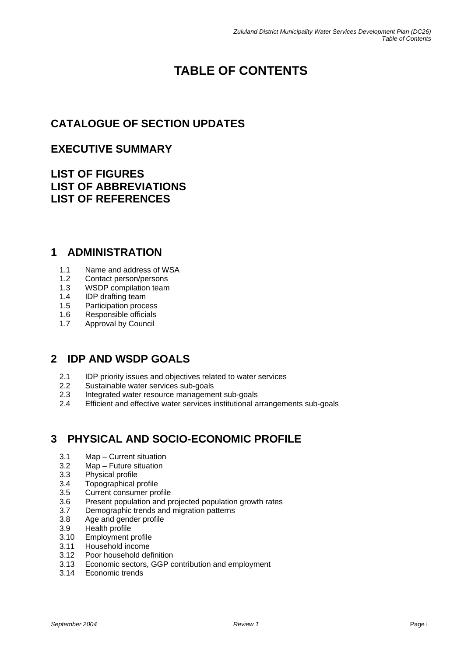# **TABLE OF CONTENTS**

# **CATALOGUE OF SECTION UPDATES**

#### **EXECUTIVE SUMMARY**

#### **LIST OF FIGURES LIST OF ABBREVIATIONS LIST OF REFERENCES**

#### **1 ADMINISTRATION**

- 1.1 Name and address of WSA<br>1.2 Contact person/persons
- 1.2 Contact person/persons<br>1.3 WSDP compilation team
- WSDP compilation team
- 1.4 IDP drafting team
- 1.5 Participation process
- 1.6 Responsible officials
- 1.7 Approval by Council

## **2 IDP AND WSDP GOALS**

- 2.1 IDP priority issues and objectives related to water services
- 2.2 Sustainable water services sub-goals
- 2.3 Integrated water resource management sub-goals
- 2.4 Efficient and effective water services institutional arrangements sub-goals

# **3 PHYSICAL AND SOCIO-ECONOMIC PROFILE**

- 3.1 Map Current situation
- 3.2 Map Future situation
- 3.3 Physical profile
- 3.4 Topographical profile
- 3.5 Current consumer profile
- 3.6 Present population and projected population growth rates
- 3.7 Demographic trends and migration patterns
- 3.8 Age and gender profile<br>3.9 Health profile
- Health profile
- 3.10 Employment profile
- 3.11 Household income
- 3.12 Poor household definition
- 3.13 Economic sectors, GGP contribution and employment
- 3.14 Economic trends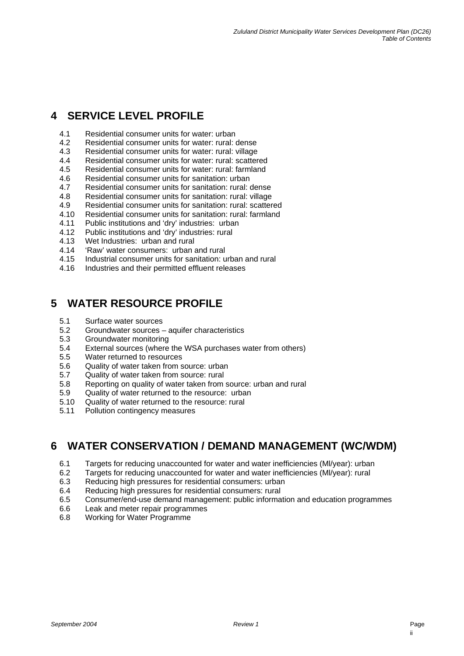### **4 SERVICE LEVEL PROFILE**

- 4.1 Residential consumer units for water: urban
- 4.2 Residential consumer units for water: rural: dense
- 4.3 Residential consumer units for water: rural: village
- 4.4 Residential consumer units for water: rural: scattered<br>4.5 Residential consumer units for water: rural: farmland
- 4.5 Residential consumer units for water: rural: farmland<br>4.6 Residential consumer units for sanitation: urban
- Residential consumer units for sanitation: urban
- 4.7 Residential consumer units for sanitation: rural: dense
- 4.8 Residential consumer units for sanitation: rural: village
- 4.9 Residential consumer units for sanitation: rural: scattered
- 4.10 Residential consumer units for sanitation: rural: farmland
- 4.11 Public institutions and 'dry' industries: urban
- 4.12 Public institutions and 'dry' industries: rural
- 4.13 Wet Industries: urban and rural
- 4.14 'Raw' water consumers: urban and rural
- 4.15 Industrial consumer units for sanitation: urban and rural
- 4.16 Industries and their permitted effluent releases

#### **5 WATER RESOURCE PROFILE**

- 5.1 Surface water sources
- 5.2 Groundwater sources aquifer characteristics
- 5.3 Groundwater monitoring
- 5.4 External sources (where the WSA purchases water from others)
- 5.5 Water returned to resources
- 5.6 Quality of water taken from source: urban
- 5.7 Quality of water taken from source: rural
- 5.8 Reporting on quality of water taken from source: urban and rural
- 5.9 Quality of water returned to the resource: urban
- 5.10 Quality of water returned to the resource: rural
- 5.11 Pollution contingency measures

#### **6 WATER CONSERVATION / DEMAND MANAGEMENT (WC/WDM)**

- 6.1 Targets for reducing unaccounted for water and water inefficiencies (Ml/year): urban
- 6.2 Targets for reducing unaccounted for water and water inefficiencies (Ml/year): rural
- 6.3 Reducing high pressures for residential consumers: urban
- 6.4 Reducing high pressures for residential consumers: rural
- 6.5 Consumer/end-use demand management: public information and education programmes
- 6.6 Leak and meter repair programmes
- 6.8 Working for Water Programme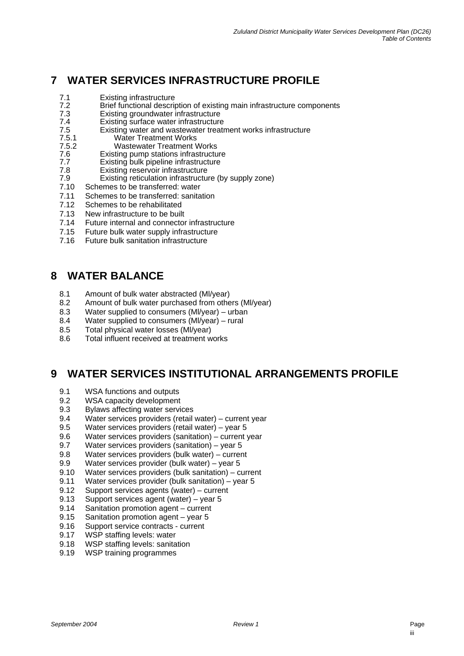# **7 WATER SERVICES INFRASTRUCTURE PROFILE**

- 7.1 Existing infrastructure
- 7.2 Brief functional description of existing main infrastructure components<br>7.3 Existing groundwater infrastructure
- 7.3 Existing groundwater infrastructure
- 7.4 Existing surface water infrastructure<br>7.5 Existing water and wastewater treatr
- 7.5 Existing water and wastewater treatment works infrastructure
- Water Treatment Works
- 7.5.2 Wastewater Treatment Works
- Existing pump stations infrastructure
- 7.7 Existing bulk pipeline infrastructure
- 7.8 Existing reservoir infrastructure<br>7.9 Existing reticulation infrastructu
- 7.9 Existing reticulation infrastructure (by supply zone)<br>7.10 Schemes to be transferred: water Schemes to be transferred: water
- 7.11 Schemes to be transferred: sanitation
- 7.12 Schemes to be rehabilitated
- 7.13 New infrastructure to be built
- 
- 7.14 Future internal and connector infrastructure
- 7.15 Future bulk water supply infrastructure
- 7.16 Future bulk sanitation infrastructure

## **8 WATER BALANCE**

- 8.1 Amount of bulk water abstracted (MI/year)<br>8.2 Amount of bulk water purchased from othe
- 8.2 Amount of bulk water purchased from others (MI/year)<br>8.3 Water supplied to consumers (MI/year) urban
- Water supplied to consumers (MI/year) urban
- 8.4 Water supplied to consumers (Ml/year) rural
- 8.5 Total physical water losses (Ml/year)
- 8.6 Total influent received at treatment works

## **9 WATER SERVICES INSTITUTIONAL ARRANGEMENTS PROFILE**

- 9.1 WSA functions and outputs
- 9.2 WSA capacity development
- 9.3 Bylaws affecting water services
- 9.4 Water services providers (retail water) current year
- 9.5 Water services providers (retail water) year 5
- 9.6 Water services providers (sanitation) current year
- 9.7 Water services providers (sanitation) year 5
- 9.8 Water services providers (bulk water) current
- 9.9 Water services provider (bulk water) year 5
- 9.10 Water services providers (bulk sanitation) current
- 9.11 Water services provider (bulk sanitation) year 5
- 9.12 Support services agents (water) current
- 9.13 Support services agent (water) year 5
- 9.14 Sanitation promotion agent current
- Sanitation promotion agent  $-$  year 5
- 9.16 Support service contracts current
- 9.17 WSP staffing levels: water
- 9.18 WSP staffing levels: sanitation
- 9.19 WSP training programmes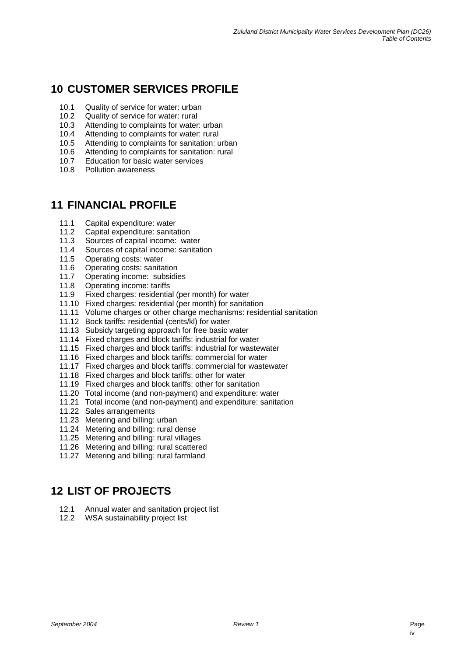# **10 CUSTOMER SERVICES PROFILE**

- 10.1 Quality of service for water: urban
- 10.2 Quality of service for water: rural
- 10.3 Attending to complaints for water: urban
- 10.4 Attending to complaints for water: rural
- 10.5 Attending to complaints for sanitation: urban
- 10.6 Attending to complaints for sanitation: rural
- 10.7 Education for basic water services
- 10.8 Pollution awareness

## **11 FINANCIAL PROFILE**

- 11.1 Capital expenditure: water
- 11.2 Capital expenditure: sanitation
- 11.3 Sources of capital income: water
- 11.4 Sources of capital income: sanitation
- 11.5 Operating costs: water
- 11.6 Operating costs: sanitation
- 11.7 Operating income: subsidies
- 11.8 Operating income: tariffs<br>11.9 Fixed charges: residentia
- Fixed charges: residential (per month) for water
- 11.10 Fixed charges: residential (per month) for sanitation
- 11.11 Volume charges or other charge mechanisms: residential sanitation
- 11.12 Bock tariffs: residential (cents/kl) for water
- 11.13 Subsidy targeting approach for free basic water
- 11.14 Fixed charges and block tariffs: industrial for water
- 11.15 Fixed charges and block tariffs: industrial for wastewater
- 11.16 Fixed charges and block tariffs: commercial for water
- 11.17 Fixed charges and block tariffs: commercial for wastewater
- 11.18 Fixed charges and block tariffs: other for water
- 11.19 Fixed charges and block tariffs: other for sanitation
- 11.20 Total income (and non-payment) and expenditure: water
- 11.21 Total income (and non-payment) and expenditure: sanitation
- 11.22 Sales arrangements
- 11.23 Metering and billing: urban
- 11.24 Metering and billing: rural dense
- 11.25 Metering and billing: rural villages
- 11.26 Metering and billing: rural scattered
- 11.27 Metering and billing: rural farmland

## **12 LIST OF PROJECTS**

- 12.1 Annual water and sanitation project list
- 12.2 WSA sustainability project list